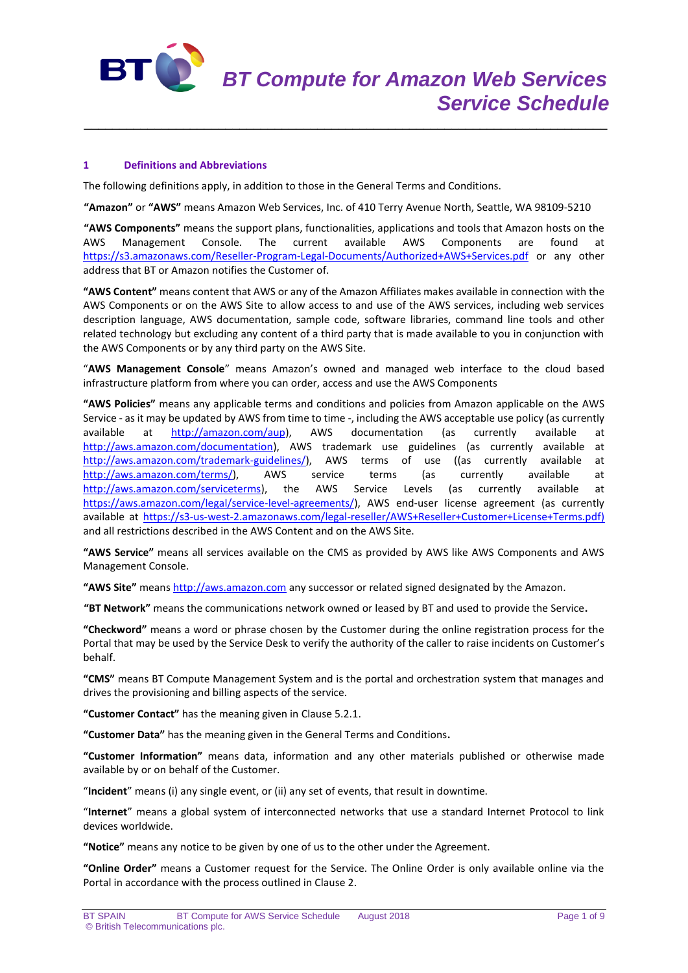

# **1 Definitions and Abbreviations**

The following definitions apply, in addition to those in the General Terms and Conditions.

**"Amazon"** or **"AWS"** means Amazon Web Services, Inc. of 410 Terry Avenue North, Seattle, WA 98109-5210

\_\_\_\_\_\_\_\_\_\_\_\_\_\_\_\_\_\_\_\_\_\_\_\_\_\_\_\_\_\_\_\_\_\_\_\_\_\_\_\_\_\_\_\_\_\_\_\_\_\_\_\_\_\_\_\_\_\_\_\_\_\_\_\_\_\_\_\_\_\_\_\_\_\_

**"AWS Components"** means the support plans, functionalities, applications and tools that Amazon hosts on the AWS Management Console. The current available AWS Components are found at <https://s3.amazonaws.com/Reseller-Program-Legal-Documents/Authorized+AWS+Services.pdf> or any other address that BT or Amazon notifies the Customer of.

**"AWS Content"** means content that AWS or any of the Amazon Affiliates makes available in connection with the AWS Components or on the AWS Site to allow access to and use of the AWS services, including web services description language, AWS documentation, sample code, software libraries, command line tools and other related technology but excluding any content of a third party that is made available to you in conjunction with the AWS Components or by any third party on the AWS Site.

"**AWS Management Console**" means Amazon's owned and managed web interface to the cloud based infrastructure platform from where you can order, access and use the AWS Components

**"AWS Policies"** means any applicable terms and conditions and policies from Amazon applicable on the AWS Service - as it may be updated by AWS from time to time -, including the AWS acceptable use policy (as currently available at [http://amazon.com/aup\)](http://amazon.com/aup), AWS documentation (as currently available at [http://aws.amazon.com/documentation\)](http://aws.amazon.com/documentation), AWS trademark use guidelines (as currently available at [http://aws.amazon.com/trademark-guidelines/\)](http://aws.amazon.com/trademark-guidelines/), AWS terms of use ((as currently available at [http://aws.amazon.com/terms/\)](http://aws.amazon.com/terms/), AWS service terms (as currently available at [http://aws.amazon.com/serviceterms\)](http://aws.amazon.com/serviceterms), the AWS Service Levels (as currently available at [https://aws.amazon.com/legal/service-level-agreements/\)](https://aws.amazon.com/legal/service-level-agreements/), AWS end-user license agreement (as currently available at [https://s3-us-west-2.amazonaws.com/legal-reseller/AWS+Reseller+Customer+License+Terms.pdf\)](https://s3-us-west-2.amazonaws.com/legal-reseller/AWS+Reseller+Customer+License+Terms.pdf) and all restrictions described in the AWS Content and on the AWS Site.

**"AWS Service"** means all services available on the CMS as provided by AWS like AWS Components and AWS Management Console.

**"AWS Site"** means [http://aws.amazon.com](http://aws.amazon.com/) any successor or related signed designated by the Amazon.

**"BT Network"** means the communications network owned or leased by BT and used to provide the Service**.**

**"Checkword"** means a word or phrase chosen by the Customer during the online registration process for the Portal that may be used by the Service Desk to verify the authority of the caller to raise incidents on Customer's behalf.

**"CMS"** means BT Compute Management System and is the portal and orchestration system that manages and drives the provisioning and billing aspects of the service.

**"Customer Contact"** has the meaning given in Clause 5.2.1.

**"Customer Data"** has the meaning given in the General Terms and Conditions**.**

**"Customer Information"** means data, information and any other materials published or otherwise made available by or on behalf of the Customer.

"**Incident**" means (i) any single event, or (ii) any set of events, that result in downtime.

"**Internet**" means a global system of interconnected networks that use a standard Internet Protocol to link devices worldwide.

**"Notice"** means any notice to be given by one of us to the other under the Agreement.

**"Online Order"** means a Customer request for the Service. The Online Order is only available online via the Portal in accordance with the process outlined in Clause 2.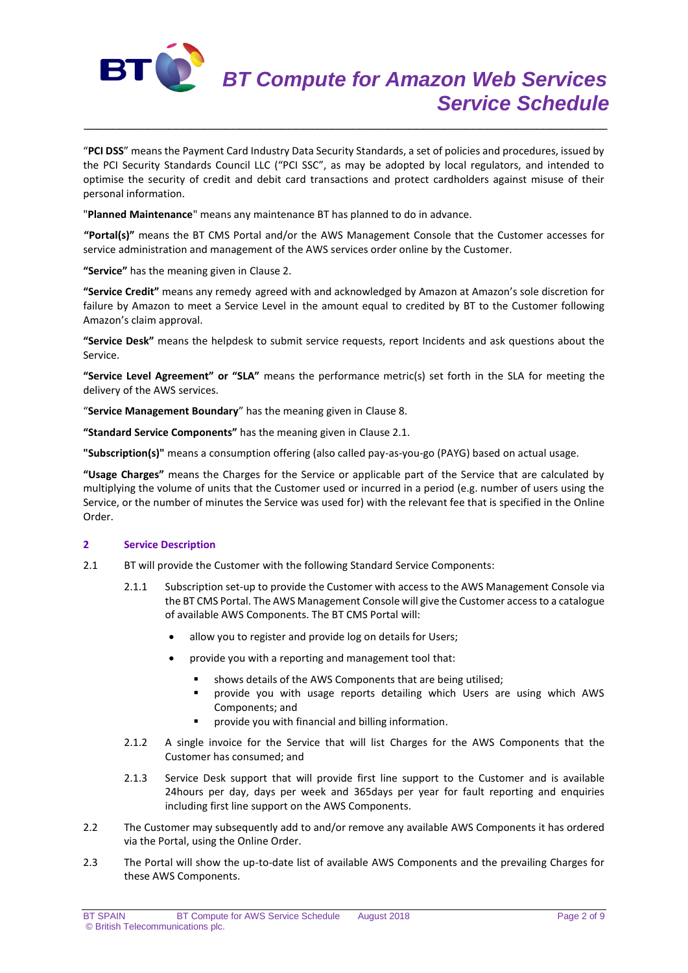

"**PCI DSS**" means the Payment Card Industry Data Security Standards, a set of policies and procedures, issued by the PCI Security Standards Council LLC ("PCI SSC", as may be adopted by local regulators, and intended to optimise the security of credit and debit card transactions and protect cardholders against misuse of their personal information.

\_\_\_\_\_\_\_\_\_\_\_\_\_\_\_\_\_\_\_\_\_\_\_\_\_\_\_\_\_\_\_\_\_\_\_\_\_\_\_\_\_\_\_\_\_\_\_\_\_\_\_\_\_\_\_\_\_\_\_\_\_\_\_\_\_\_\_\_\_\_\_\_\_\_

"**Planned Maintenance**" means any maintenance BT has planned to do in advance.

**"Portal(s)"** means the BT CMS Portal and/or the AWS Management Console that the Customer accesses for service administration and management of the AWS services order online by the Customer.

**"Service"** has the meaning given in Clause 2.

**"Service Credit"** means any remedy agreed with and acknowledged by Amazon at Amazon's sole discretion for failure by Amazon to meet a Service Level in the amount equal to credited by BT to the Customer following Amazon's claim approval.

**"Service Desk"** means the helpdesk to submit service requests, report Incidents and ask questions about the Service.

**"Service Level Agreement" or "SLA"** means the performance metric(s) set forth in the SLA for meeting the delivery of the AWS services.

"**Service Management Boundary**" has the meaning given in Clause 8.

**"Standard Service Components"** has the meaning given in Clause 2.1.

**"Subscription(s)"** means a consumption offering (also called pay-as-you-go (PAYG) based on actual usage.

**"Usage Charges"** means the Charges for the Service or applicable part of the Service that are calculated by multiplying the volume of units that the Customer used or incurred in a period (e.g. number of users using the Service, or the number of minutes the Service was used for) with the relevant fee that is specified in the Online Order.

# **2 Service Description**

- 2.1 BT will provide the Customer with the following Standard Service Components:
	- 2.1.1 Subscription set-up to provide the Customer with access to the AWS Management Console via the BT CMS Portal. The AWS Management Console will give the Customer access to a catalogue of available AWS Components. The BT CMS Portal will:
		- allow you to register and provide log on details for Users;
		- provide you with a reporting and management tool that:
			- shows details of the AWS Components that are being utilised;
			- provide you with usage reports detailing which Users are using which AWS Components; and
			- provide you with financial and billing information.
	- 2.1.2 A single invoice for the Service that will list Charges for the AWS Components that the Customer has consumed; and
	- 2.1.3 Service Desk support that will provide first line support to the Customer and is available 24hours per day, days per week and 365days per year for fault reporting and enquiries including first line support on the AWS Components.
- 2.2 The Customer may subsequently add to and/or remove any available AWS Components it has ordered via the Portal, using the Online Order.
- 2.3 The Portal will show the up-to-date list of available AWS Components and the prevailing Charges for these AWS Components.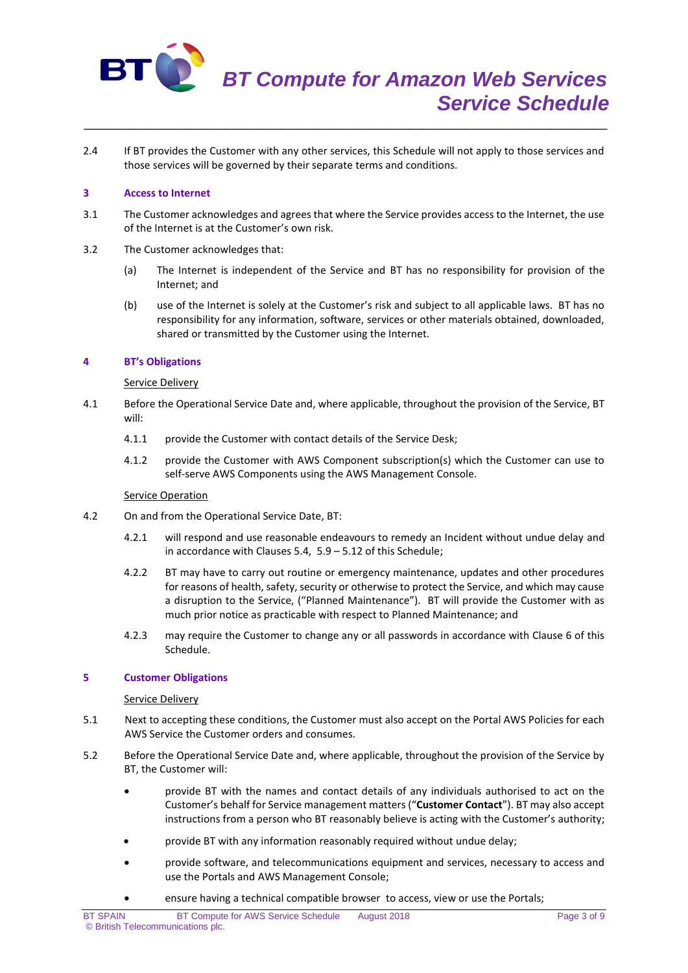

2.4 If BT provides the Customer with any other services, this Schedule will not apply to those services and those services will be governed by their separate terms and conditions.

\_\_\_\_\_\_\_\_\_\_\_\_\_\_\_\_\_\_\_\_\_\_\_\_\_\_\_\_\_\_\_\_\_\_\_\_\_\_\_\_\_\_\_\_\_\_\_\_\_\_\_\_\_\_\_\_\_\_\_\_\_\_\_\_\_\_\_\_\_\_\_\_\_\_

#### **3 Access to Internet**

- 3.1 The Customer acknowledges and agrees that where the Service provides access to the Internet, the use of the Internet is at the Customer's own risk.
- 3.2 The Customer acknowledges that:
	- (a) The Internet is independent of the Service and BT has no responsibility for provision of the Internet; and
	- (b) use of the Internet is solely at the Customer's risk and subject to all applicable laws. BT has no responsibility for any information, software, services or other materials obtained, downloaded, shared or transmitted by the Customer using the Internet.

### **4 BT's Obligations**

#### Service Delivery

- 4.1 Before the Operational Service Date and, where applicable, throughout the provision of the Service, BT will:
	- 4.1.1 provide the Customer with contact details of the Service Desk;
	- 4.1.2 provide the Customer with AWS Component subscription(s) which the Customer can use to self-serve AWS Components using the AWS Management Console.

#### **Service Operation**

- 4.2 On and from the Operational Service Date, BT:
	- 4.2.1 will respond and use reasonable endeavours to remedy an Incident without undue delay and in accordance with Clauses 5.4, 5.9 – 5.12 of this Schedule;
	- 4.2.2 BT may have to carry out routine or emergency maintenance, updates and other procedures for reasons of health, safety, security or otherwise to protect the Service, and which may cause a disruption to the Service, ("Planned Maintenance"). BT will provide the Customer with as much prior notice as practicable with respect to Planned Maintenance; and
	- 4.2.3 may require the Customer to change any or all passwords in accordance with Clause 6 of this Schedule.

#### **5 Customer Obligations**

#### Service Delivery

- 5.1 Next to accepting these conditions, the Customer must also accept on the Portal AWS Policies for each AWS Service the Customer orders and consumes.
- 5.2 Before the Operational Service Date and, where applicable, throughout the provision of the Service by BT, the Customer will:
	- provide BT with the names and contact details of any individuals authorised to act on the Customer's behalf for Service management matters ("**Customer Contact**"). BT may also accept instructions from a person who BT reasonably believe is acting with the Customer's authority;
	- provide BT with any information reasonably required without undue delay;
	- provide software, and telecommunications equipment and services, necessary to access and use the Portals and AWS Management Console;
		- ensure having a technical compatible browser to access, view or use the Portals;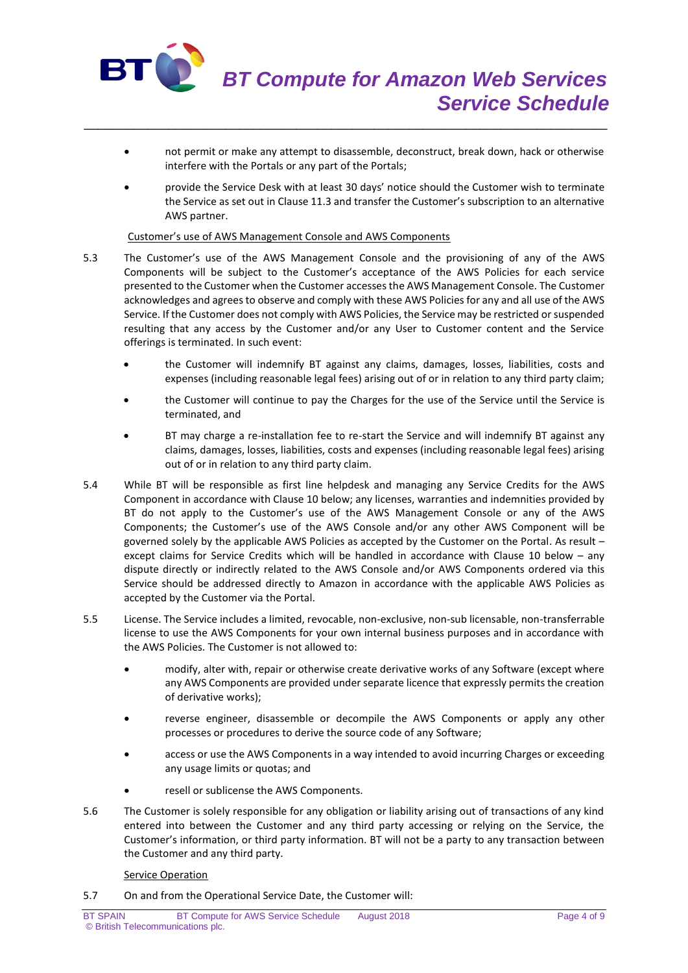

 not permit or make any attempt to disassemble, deconstruct, break down, hack or otherwise interfere with the Portals or any part of the Portals;

\_\_\_\_\_\_\_\_\_\_\_\_\_\_\_\_\_\_\_\_\_\_\_\_\_\_\_\_\_\_\_\_\_\_\_\_\_\_\_\_\_\_\_\_\_\_\_\_\_\_\_\_\_\_\_\_\_\_\_\_\_\_\_\_\_\_\_\_\_\_\_\_\_\_

 provide the Service Desk with at least 30 days' notice should the Customer wish to terminate the Service as set out in Clause 11.3 and transfer the Customer's subscription to an alternative AWS partner.

#### Customer's use of AWS Management Console and AWS Components

- 5.3 The Customer's use of the AWS Management Console and the provisioning of any of the AWS Components will be subject to the Customer's acceptance of the AWS Policies for each service presented to the Customer when the Customer accesses the AWS Management Console. The Customer acknowledges and agrees to observe and comply with these AWS Policies for any and all use of the AWS Service. If the Customer does not comply with AWS Policies, the Service may be restricted or suspended resulting that any access by the Customer and/or any User to Customer content and the Service offerings is terminated. In such event:
	- the Customer will indemnify BT against any claims, damages, losses, liabilities, costs and expenses (including reasonable legal fees) arising out of or in relation to any third party claim;
	- the Customer will continue to pay the Charges for the use of the Service until the Service is terminated, and
	- BT may charge a re-installation fee to re-start the Service and will indemnify BT against any claims, damages, losses, liabilities, costs and expenses (including reasonable legal fees) arising out of or in relation to any third party claim.
- 5.4 While BT will be responsible as first line helpdesk and managing any Service Credits for the AWS Component in accordance with Clause 10 below; any licenses, warranties and indemnities provided by BT do not apply to the Customer's use of the AWS Management Console or any of the AWS Components; the Customer's use of the AWS Console and/or any other AWS Component will be governed solely by the applicable AWS Policies as accepted by the Customer on the Portal. As result – except claims for Service Credits which will be handled in accordance with Clause 10 below – any dispute directly or indirectly related to the AWS Console and/or AWS Components ordered via this Service should be addressed directly to Amazon in accordance with the applicable AWS Policies as accepted by the Customer via the Portal.
- 5.5 License. The Service includes a limited, revocable, non-exclusive, non-sub licensable, non-transferrable license to use the AWS Components for your own internal business purposes and in accordance with the AWS Policies. The Customer is not allowed to:
	- modify, alter with, repair or otherwise create derivative works of any Software (except where any AWS Components are provided under separate licence that expressly permits the creation of derivative works);
	- reverse engineer, disassemble or decompile the AWS Components or apply any other processes or procedures to derive the source code of any Software;
	- access or use the AWS Components in a way intended to avoid incurring Charges or exceeding any usage limits or quotas; and
	- resell or sublicense the AWS Components.
- 5.6 The Customer is solely responsible for any obligation or liability arising out of transactions of any kind entered into between the Customer and any third party accessing or relying on the Service, the Customer's information, or third party information. BT will not be a party to any transaction between the Customer and any third party.

### **Service Operation**

5.7 On and from the Operational Service Date, the Customer will: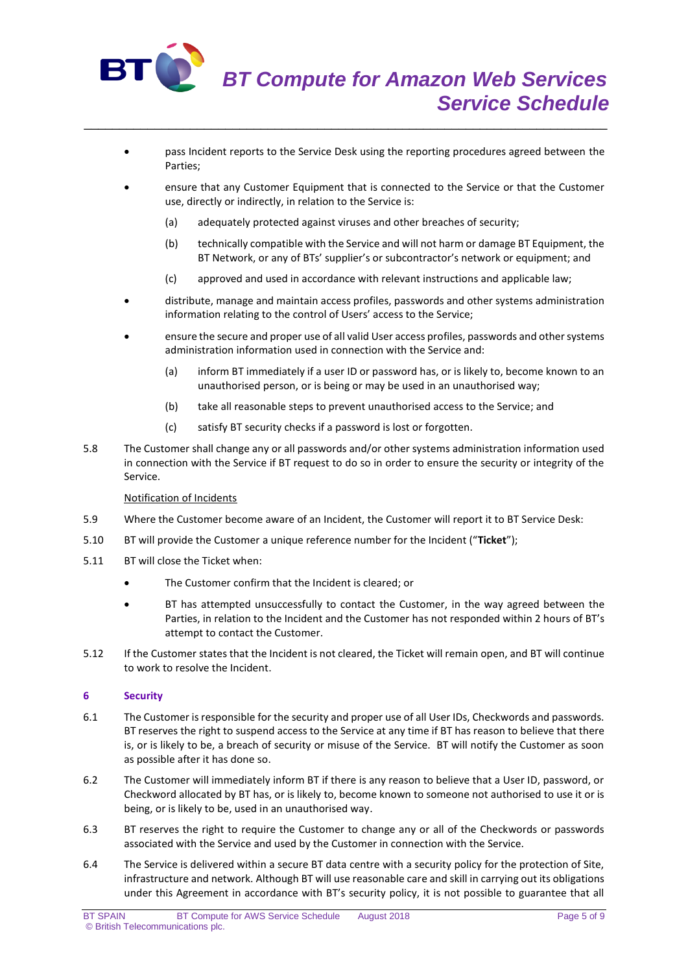

- pass Incident reports to the Service Desk using the reporting procedures agreed between the Parties;
- ensure that any Customer Equipment that is connected to the Service or that the Customer use, directly or indirectly, in relation to the Service is:
	- (a) adequately protected against viruses and other breaches of security;

\_\_\_\_\_\_\_\_\_\_\_\_\_\_\_\_\_\_\_\_\_\_\_\_\_\_\_\_\_\_\_\_\_\_\_\_\_\_\_\_\_\_\_\_\_\_\_\_\_\_\_\_\_\_\_\_\_\_\_\_\_\_\_\_\_\_\_\_\_\_\_\_\_\_

- (b) technically compatible with the Service and will not harm or damage BT Equipment, the BT Network, or any of BTs' supplier's or subcontractor's network or equipment; and
- (c) approved and used in accordance with relevant instructions and applicable law;
- distribute, manage and maintain access profiles, passwords and other systems administration information relating to the control of Users' access to the Service;
- ensure the secure and proper use of all valid User access profiles, passwords and other systems administration information used in connection with the Service and:
	- (a) inform BT immediately if a user ID or password has, or is likely to, become known to an unauthorised person, or is being or may be used in an unauthorised way;
	- (b) take all reasonable steps to prevent unauthorised access to the Service; and
	- (c) satisfy BT security checks if a password is lost or forgotten.
- 5.8 The Customer shall change any or all passwords and/or other systems administration information used in connection with the Service if BT request to do so in order to ensure the security or integrity of the Service.

### Notification of Incidents

- 5.9 Where the Customer become aware of an Incident, the Customer will report it to BT Service Desk:
- 5.10 BT will provide the Customer a unique reference number for the Incident ("**Ticket**");
- 5.11 BT will close the Ticket when:
	- The Customer confirm that the Incident is cleared; or
	- BT has attempted unsuccessfully to contact the Customer, in the way agreed between the Parties, in relation to the Incident and the Customer has not responded within 2 hours of BT's attempt to contact the Customer.
- 5.12 If the Customer states that the Incident is not cleared, the Ticket will remain open, and BT will continue to work to resolve the Incident.

### **6 Security**

- 6.1 The Customer is responsible for the security and proper use of all User IDs, Checkwords and passwords. BT reserves the right to suspend access to the Service at any time if BT has reason to believe that there is, or is likely to be, a breach of security or misuse of the Service. BT will notify the Customer as soon as possible after it has done so.
- 6.2 The Customer will immediately inform BT if there is any reason to believe that a User ID, password, or Checkword allocated by BT has, or is likely to, become known to someone not authorised to use it or is being, or is likely to be, used in an unauthorised way.
- 6.3 BT reserves the right to require the Customer to change any or all of the Checkwords or passwords associated with the Service and used by the Customer in connection with the Service.
- 6.4 The Service is delivered within a secure BT data centre with a security policy for the protection of Site, infrastructure and network. Although BT will use reasonable care and skill in carrying out its obligations under this Agreement in accordance with BT's security policy, it is not possible to guarantee that all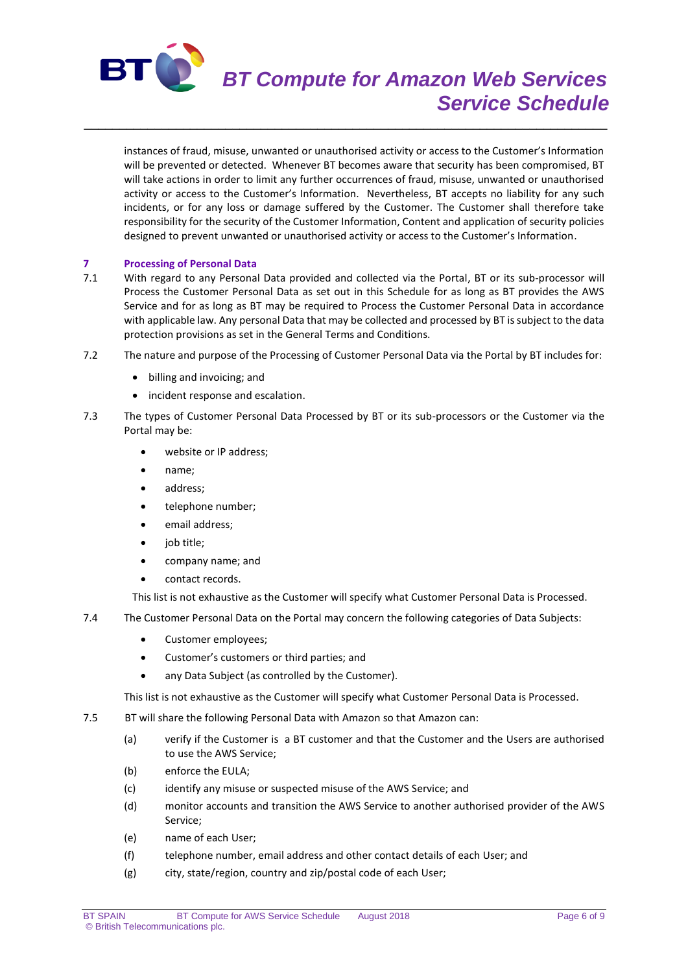

# *BT Compute for Amazon Web Services Service Schedule*

instances of fraud, misuse, unwanted or unauthorised activity or access to the Customer's Information will be prevented or detected. Whenever BT becomes aware that security has been compromised, BT will take actions in order to limit any further occurrences of fraud, misuse, unwanted or unauthorised activity or access to the Customer's Information. Nevertheless, BT accepts no liability for any such incidents, or for any loss or damage suffered by the Customer. The Customer shall therefore take responsibility for the security of the Customer Information, Content and application of security policies designed to prevent unwanted or unauthorised activity or access to the Customer's Information.

\_\_\_\_\_\_\_\_\_\_\_\_\_\_\_\_\_\_\_\_\_\_\_\_\_\_\_\_\_\_\_\_\_\_\_\_\_\_\_\_\_\_\_\_\_\_\_\_\_\_\_\_\_\_\_\_\_\_\_\_\_\_\_\_\_\_\_\_\_\_\_\_\_\_

# **7 Processing of Personal Data**<br>**7.1** With regard to any Personal

- With regard to any Personal Data provided and collected via the Portal, BT or its sub-processor will Process the Customer Personal Data as set out in this Schedule for as long as BT provides the AWS Service and for as long as BT may be required to Process the Customer Personal Data in accordance with applicable law. Any personal Data that may be collected and processed by BT is subject to the data protection provisions as set in the General Terms and Conditions.
- 7.2 The nature and purpose of the Processing of Customer Personal Data via the Portal by BT includes for:
	- billing and invoicing; and
	- incident response and escalation.
- 7.3 The types of Customer Personal Data Processed by BT or its sub-processors or the Customer via the Portal may be:
	- website or IP address;
	- name;
	- address;
	- telephone number;
	- email address;
	- job title;
	- company name; and
	- contact records.

This list is not exhaustive as the Customer will specify what Customer Personal Data is Processed.

- 7.4 The Customer Personal Data on the Portal may concern the following categories of Data Subjects:
	- Customer employees;
	- Customer's customers or third parties; and
	- any Data Subject (as controlled by the Customer).

This list is not exhaustive as the Customer will specify what Customer Personal Data is Processed.

- 7.5 BT will share the following Personal Data with Amazon so that Amazon can:
	- (a) verify if the Customer is a BT customer and that the Customer and the Users are authorised to use the AWS Service;
	- (b) enforce the EULA;
	- (c) identify any misuse or suspected misuse of the AWS Service; and
	- (d) monitor accounts and transition the AWS Service to another authorised provider of the AWS Service;
	- (e) name of each User;
	- (f) telephone number, email address and other contact details of each User; and
	- (g) city, state/region, country and zip/postal code of each User;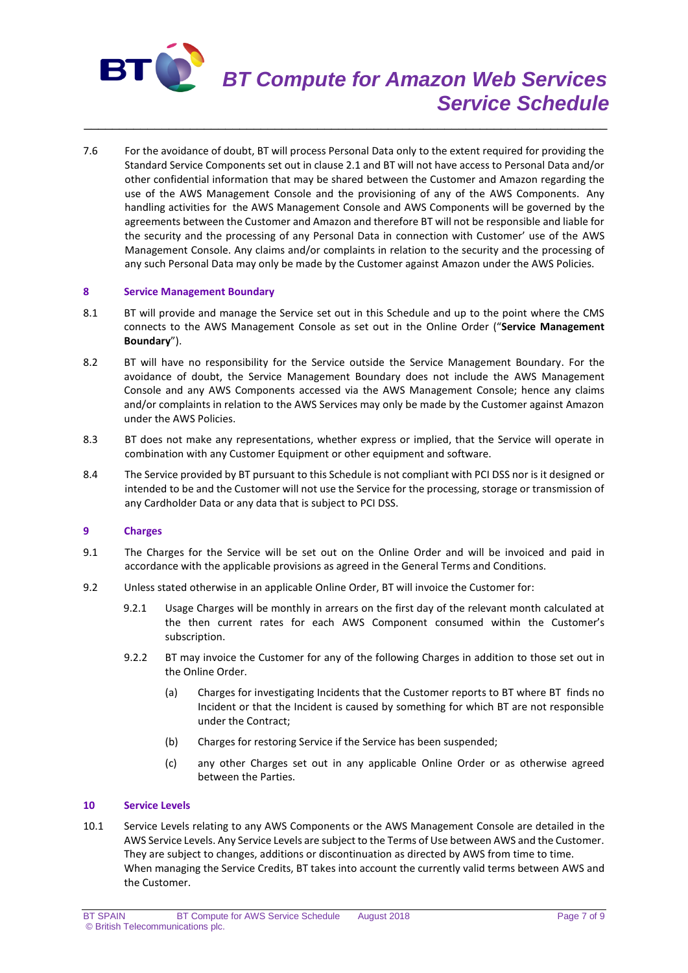

# *BT Compute for Amazon Web Services Service Schedule*

7.6 For the avoidance of doubt, BT will process Personal Data only to the extent required for providing the Standard Service Components set out in clause 2.1 and BT will not have access to Personal Data and/or other confidential information that may be shared between the Customer and Amazon regarding the use of the AWS Management Console and the provisioning of any of the AWS Components. Any handling activities for the AWS Management Console and AWS Components will be governed by the agreements between the Customer and Amazon and therefore BT will not be responsible and liable for the security and the processing of any Personal Data in connection with Customer' use of the AWS Management Console. Any claims and/or complaints in relation to the security and the processing of any such Personal Data may only be made by the Customer against Amazon under the AWS Policies.

\_\_\_\_\_\_\_\_\_\_\_\_\_\_\_\_\_\_\_\_\_\_\_\_\_\_\_\_\_\_\_\_\_\_\_\_\_\_\_\_\_\_\_\_\_\_\_\_\_\_\_\_\_\_\_\_\_\_\_\_\_\_\_\_\_\_\_\_\_\_\_\_\_\_

#### **8 Service Management Boundary**

- 8.1 BT will provide and manage the Service set out in this Schedule and up to the point where the CMS connects to the AWS Management Console as set out in the Online Order ("**Service Management Boundary**").
- 8.2 BT will have no responsibility for the Service outside the Service Management Boundary. For the avoidance of doubt, the Service Management Boundary does not include the AWS Management Console and any AWS Components accessed via the AWS Management Console; hence any claims and/or complaints in relation to the AWS Services may only be made by the Customer against Amazon under the AWS Policies.
- 8.3 BT does not make any representations, whether express or implied, that the Service will operate in combination with any Customer Equipment or other equipment and software.
- 8.4 The Service provided by BT pursuant to this Schedule is not compliant with PCI DSS nor is it designed or intended to be and the Customer will not use the Service for the processing, storage or transmission of any Cardholder Data or any data that is subject to PCI DSS.

#### **9 Charges**

- 9.1 The Charges for the Service will be set out on the Online Order and will be invoiced and paid in accordance with the applicable provisions as agreed in the General Terms and Conditions.
- 9.2 Unless stated otherwise in an applicable Online Order, BT will invoice the Customer for:
	- 9.2.1 Usage Charges will be monthly in arrears on the first day of the relevant month calculated at the then current rates for each AWS Component consumed within the Customer's subscription.
	- 9.2.2 BT may invoice the Customer for any of the following Charges in addition to those set out in the Online Order.
		- (a) Charges for investigating Incidents that the Customer reports to BT where BT finds no Incident or that the Incident is caused by something for which BT are not responsible under the Contract;
		- (b) Charges for restoring Service if the Service has been suspended;
		- (c) any other Charges set out in any applicable Online Order or as otherwise agreed between the Parties.

# **10 Service Levels**

10.1 Service Levels relating to any AWS Components or the AWS Management Console are detailed in the AWS Service Levels. Any Service Levels are subject to the Terms of Use between AWS and the Customer. They are subject to changes, additions or discontinuation as directed by AWS from time to time. When managing the Service Credits, BT takes into account the currently valid terms between AWS and the Customer.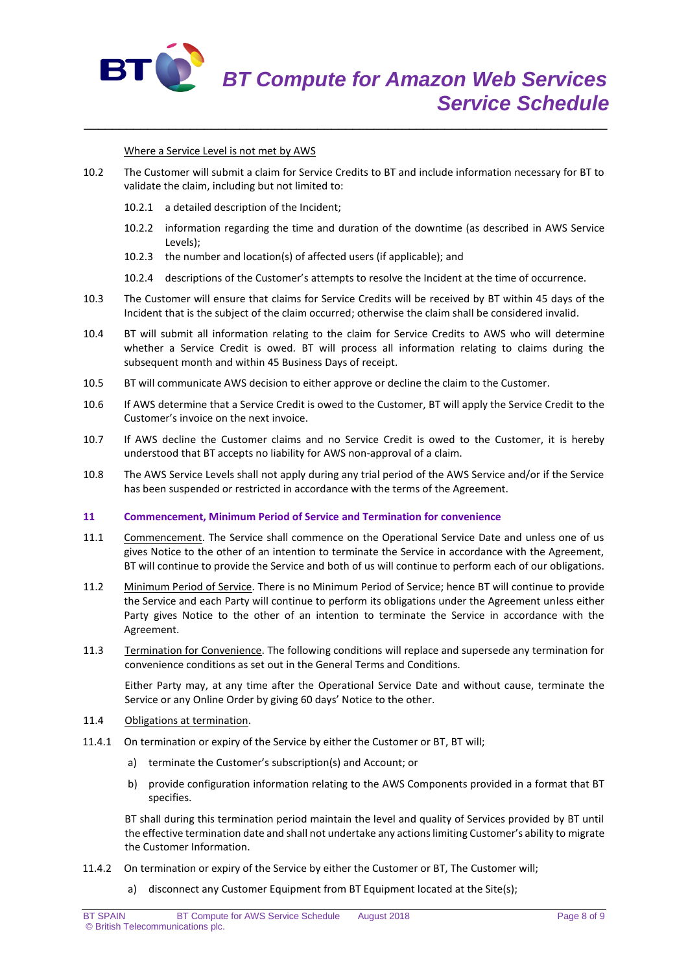

Where a Service Level is not met by AWS

10.2 The Customer will submit a claim for Service Credits to BT and include information necessary for BT to validate the claim, including but not limited to:

\_\_\_\_\_\_\_\_\_\_\_\_\_\_\_\_\_\_\_\_\_\_\_\_\_\_\_\_\_\_\_\_\_\_\_\_\_\_\_\_\_\_\_\_\_\_\_\_\_\_\_\_\_\_\_\_\_\_\_\_\_\_\_\_\_\_\_\_\_\_\_\_\_\_

- 10.2.1 a detailed description of the Incident;
- 10.2.2 information regarding the time and duration of the downtime (as described in AWS Service Levels);
- 10.2.3 the number and location(s) of affected users (if applicable); and
- 10.2.4 descriptions of the Customer's attempts to resolve the Incident at the time of occurrence.
- 10.3 The Customer will ensure that claims for Service Credits will be received by BT within 45 days of the Incident that is the subject of the claim occurred; otherwise the claim shall be considered invalid.
- 10.4 BT will submit all information relating to the claim for Service Credits to AWS who will determine whether a Service Credit is owed. BT will process all information relating to claims during the subsequent month and within 45 Business Days of receipt.
- 10.5 BT will communicate AWS decision to either approve or decline the claim to the Customer.
- 10.6 If AWS determine that a Service Credit is owed to the Customer, BT will apply the Service Credit to the Customer's invoice on the next invoice.
- 10.7 If AWS decline the Customer claims and no Service Credit is owed to the Customer, it is hereby understood that BT accepts no liability for AWS non-approval of a claim.
- 10.8 The AWS Service Levels shall not apply during any trial period of the AWS Service and/or if the Service has been suspended or restricted in accordance with the terms of the Agreement.

#### **11 Commencement, Minimum Period of Service and Termination for convenience**

- 11.1 Commencement. The Service shall commence on the Operational Service Date and unless one of us gives Notice to the other of an intention to terminate the Service in accordance with the Agreement, BT will continue to provide the Service and both of us will continue to perform each of our obligations.
- 11.2 Minimum Period of Service. There is no Minimum Period of Service; hence BT will continue to provide the Service and each Party will continue to perform its obligations under the Agreement unless either Party gives Notice to the other of an intention to terminate the Service in accordance with the Agreement.
- 11.3 Termination for Convenience. The following conditions will replace and supersede any termination for convenience conditions as set out in the General Terms and Conditions.

Either Party may, at any time after the Operational Service Date and without cause, terminate the Service or any Online Order by giving 60 days' Notice to the other.

- 11.4 Obligations at termination.
- 11.4.1 On termination or expiry of the Service by either the Customer or BT, BT will;
	- a) terminate the Customer's subscription(s) and Account; or
	- b) provide configuration information relating to the AWS Components provided in a format that BT specifies.

BT shall during this termination period maintain the level and quality of Services provided by BT until the effective termination date and shall not undertake any actions limiting Customer's ability to migrate the Customer Information.

- 11.4.2 On termination or expiry of the Service by either the Customer or BT, The Customer will;
	- a) disconnect any Customer Equipment from BT Equipment located at the Site(s);